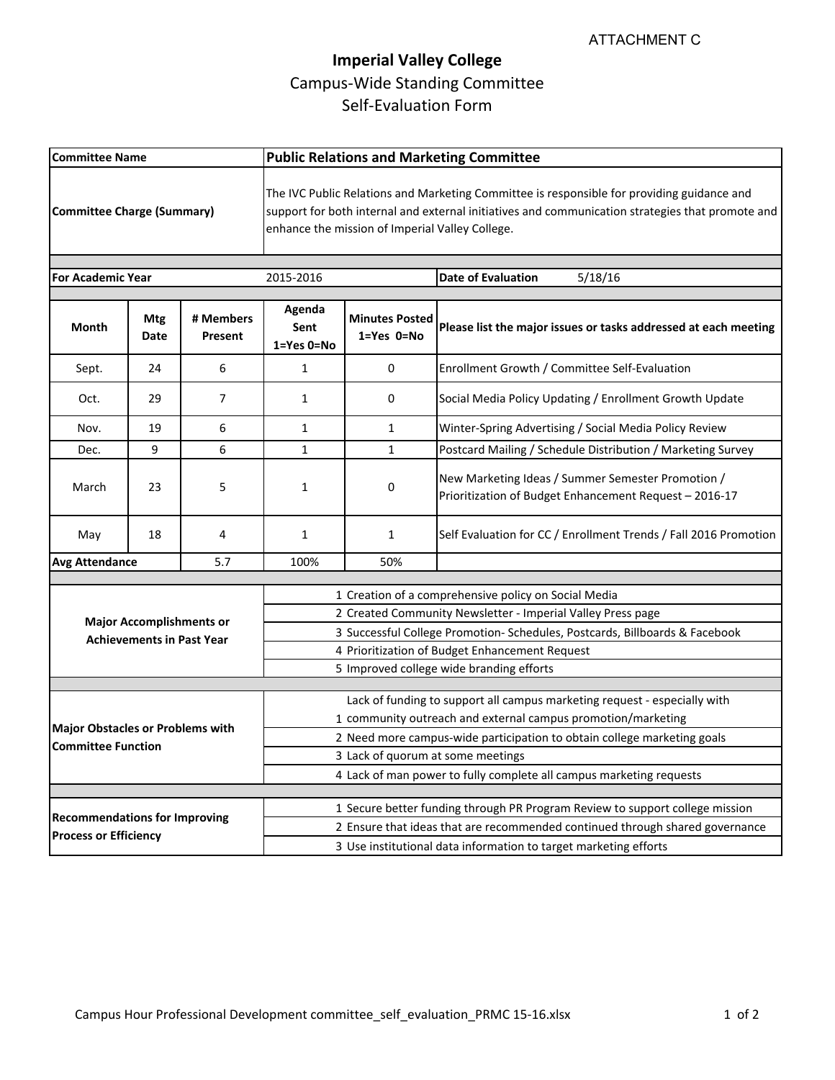## **Imperial Valley College** Campus-Wide Standing Committee Self-Evaluation Form

| <b>Committee Name</b>                                                |                    |                      | <b>Public Relations and Marketing Committee</b>                                                                                                                                                                                                   |                                             |                                                                                                             |
|----------------------------------------------------------------------|--------------------|----------------------|---------------------------------------------------------------------------------------------------------------------------------------------------------------------------------------------------------------------------------------------------|---------------------------------------------|-------------------------------------------------------------------------------------------------------------|
| <b>Committee Charge (Summary)</b>                                    |                    |                      | The IVC Public Relations and Marketing Committee is responsible for providing guidance and<br>support for both internal and external initiatives and communication strategies that promote and<br>enhance the mission of Imperial Valley College. |                                             |                                                                                                             |
| <b>For Academic Year</b>                                             |                    |                      | 2015-2016                                                                                                                                                                                                                                         |                                             | 5/18/16<br><b>Date of Evaluation</b>                                                                        |
|                                                                      |                    |                      |                                                                                                                                                                                                                                                   |                                             |                                                                                                             |
| Month                                                                | <b>Mtg</b><br>Date | # Members<br>Present | Agenda<br>Sent<br>1=Yes 0=No                                                                                                                                                                                                                      | <b>Minutes Posted</b><br>$1 = Yes$ $0 = No$ | Please list the major issues or tasks addressed at each meeting                                             |
| Sept.                                                                | 24                 | 6                    | 1                                                                                                                                                                                                                                                 | 0                                           | Enrollment Growth / Committee Self-Evaluation                                                               |
| Oct.                                                                 | 29                 | 7                    | 1                                                                                                                                                                                                                                                 | 0                                           | Social Media Policy Updating / Enrollment Growth Update                                                     |
| Nov.                                                                 | 19                 | 6                    | $\mathbf{1}$                                                                                                                                                                                                                                      | $\mathbf{1}$                                | Winter-Spring Advertising / Social Media Policy Review                                                      |
| Dec.                                                                 | 9                  | 6                    | $\mathbf{1}$                                                                                                                                                                                                                                      | $\mathbf{1}$                                | Postcard Mailing / Schedule Distribution / Marketing Survey                                                 |
| March                                                                | 23                 | 5                    | 1                                                                                                                                                                                                                                                 | 0                                           | New Marketing Ideas / Summer Semester Promotion /<br>Prioritization of Budget Enhancement Request - 2016-17 |
| May                                                                  | 18                 | 4                    | $\mathbf{1}$                                                                                                                                                                                                                                      | $\mathbf{1}$                                | Self Evaluation for CC / Enrollment Trends / Fall 2016 Promotion                                            |
| <b>Avg Attendance</b>                                                |                    | 5.7                  | 100%                                                                                                                                                                                                                                              | 50%                                         |                                                                                                             |
|                                                                      |                    |                      |                                                                                                                                                                                                                                                   |                                             |                                                                                                             |
| <b>Major Accomplishments or</b><br><b>Achievements in Past Year</b>  |                    |                      | 1 Creation of a comprehensive policy on Social Media<br>2 Created Community Newsletter - Imperial Valley Press page                                                                                                                               |                                             |                                                                                                             |
|                                                                      |                    |                      | 3 Successful College Promotion- Schedules, Postcards, Billboards & Facebook                                                                                                                                                                       |                                             |                                                                                                             |
|                                                                      |                    |                      | 4 Prioritization of Budget Enhancement Request                                                                                                                                                                                                    |                                             |                                                                                                             |
|                                                                      |                    |                      | 5 Improved college wide branding efforts                                                                                                                                                                                                          |                                             |                                                                                                             |
|                                                                      |                    |                      |                                                                                                                                                                                                                                                   |                                             |                                                                                                             |
|                                                                      |                    |                      | Lack of funding to support all campus marketing request - especially with                                                                                                                                                                         |                                             |                                                                                                             |
| <b>Major Obstacles or Problems with</b><br><b>Committee Function</b> |                    |                      | 1 community outreach and external campus promotion/marketing                                                                                                                                                                                      |                                             |                                                                                                             |
|                                                                      |                    |                      | 2 Need more campus-wide participation to obtain college marketing goals                                                                                                                                                                           |                                             |                                                                                                             |
|                                                                      |                    |                      | 3 Lack of quorum at some meetings<br>4 Lack of man power to fully complete all campus marketing requests                                                                                                                                          |                                             |                                                                                                             |
|                                                                      |                    |                      |                                                                                                                                                                                                                                                   |                                             |                                                                                                             |
|                                                                      |                    |                      | 1 Secure better funding through PR Program Review to support college mission                                                                                                                                                                      |                                             |                                                                                                             |
| <b>Recommendations for Improving</b><br><b>Process or Efficiency</b> |                    |                      | 2 Ensure that ideas that are recommended continued through shared governance                                                                                                                                                                      |                                             |                                                                                                             |
|                                                                      |                    |                      | 3 Use institutional data information to target marketing efforts                                                                                                                                                                                  |                                             |                                                                                                             |